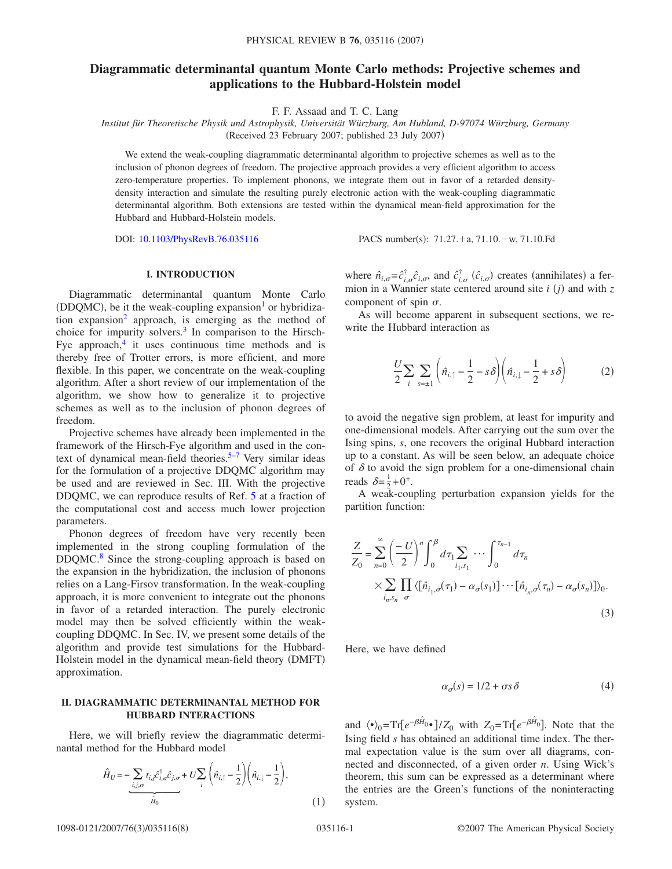# **Diagrammatic determinantal quantum Monte Carlo methods: Projective schemes and applications to the Hubbard-Holstein model**

F. F. Assaad and T. C. Lang

*Institut für Theoretische Physik und Astrophysik, Universität Würzburg, Am Hubland, D-97074 Würzburg, Germany* (Received 23 February 2007; published 23 July 2007)

We extend the weak-coupling diagrammatic determinantal algorithm to projective schemes as well as to the inclusion of phonon degrees of freedom. The projective approach provides a very efficient algorithm to access zero-temperature properties. To implement phonons, we integrate them out in favor of a retarded densitydensity interaction and simulate the resulting purely electronic action with the weak-coupling diagrammatic determinantal algorithm. Both extensions are tested within the dynamical mean-field approximation for the Hubbard and Hubbard-Holstein models.

DOI: [10.1103/PhysRevB.76.035116](http://dx.doi.org/10.1103/PhysRevB.76.035116)

 $: 71.27.+a, 71.10-$ w,  $71.10.Fd$ 

### **I. INTRODUCTION**

Diagrammatic determinantal quantum Monte Carlo  $(DDQMC)$ , be it the weak-coupling expansion<sup>1</sup> or hybridization expansion<sup>2</sup> approach, is emerging as the method of choice for impurity solvers. $3$  In comparison to the Hirsch-Fye approach, $4$  it uses continuous time methods and is thereby free of Trotter errors, is more efficient, and more flexible. In this paper, we concentrate on the weak-coupling algorithm. After a short review of our implementation of the algorithm, we show how to generalize it to projective schemes as well as to the inclusion of phonon degrees of freedom.

Projective schemes have already been implemented in the framework of the Hirsch-Fye algorithm and used in the con-text of dynamical mean-field theories.<sup>5[–7](#page-6-5)</sup> Very similar ideas for the formulation of a projective DDQMC algorithm may be used and are reviewed in Sec. III. With the projective DDQMC, we can reproduce results of Ref. [5](#page-6-4) at a fraction of the computational cost and access much lower projection parameters.

Phonon degrees of freedom have very recently been implemented in the strong coupling formulation of the DDQMC.<sup>8</sup> Since the strong-coupling approach is based on the expansion in the hybridization, the inclusion of phonons relies on a Lang-Firsov transformation. In the weak-coupling approach, it is more convenient to integrate out the phonons in favor of a retarded interaction. The purely electronic model may then be solved efficiently within the weakcoupling DDQMC. In Sec. IV, we present some details of the algorithm and provide test simulations for the Hubbard-Holstein model in the dynamical mean-field theory (DMFT) approximation.

# **II. DIAGRAMMATIC DETERMINANTAL METHOD FOR HUBBARD INTERACTIONS**

Here, we will briefly review the diagrammatic determinantal method for the Hubbard model

$$
\hat{H}_U = -\underbrace{\sum_{i,j,\sigma} t_{i,j} \hat{c}_{i,\sigma}^{\dagger} \hat{c}_{j,\sigma}}_{\hat{H}_0} + U \sum_i \left( \hat{n}_{i,\uparrow} - \frac{1}{2} \right) \left( \hat{n}_{i,\downarrow} - \frac{1}{2} \right),
$$
\n(1)

where  $\hat{n}_{i,\sigma} = \hat{c}_{i,\sigma}^{\dagger} \hat{c}_{i,\sigma}$ , and  $\hat{c}_{i,\sigma}^{\dagger}$  ( $\hat{c}_{i,\sigma}$ ) creates (annihilates) a fermion in a Wannier state centered around site  $i(j)$  and with  $z$ component of spin  $\sigma$ .

<span id="page-0-0"></span>As will become apparent in subsequent sections, we rewrite the Hubbard interaction as

$$
\frac{U}{2} \sum_{i} \sum_{s=\pm 1} \left( \hat{n}_{i,\uparrow} - \frac{1}{2} - s \delta \right) \left( \hat{n}_{i,\downarrow} - \frac{1}{2} + s \delta \right) \tag{2}
$$

to avoid the negative sign problem, at least for impurity and one-dimensional models. After carrying out the sum over the Ising spins, *s*, one recovers the original Hubbard interaction up to a constant. As will be seen below, an adequate choice of  $\delta$  to avoid the sign problem for a one-dimensional chain reads  $\delta = \frac{1}{2} + 0^+$ .

A weak-coupling perturbation expansion yields for the partition function:

$$
\frac{Z}{Z_0} = \sum_{n=0}^{\infty} \left(\frac{-U}{2}\right)^n \int_0^{\beta} d\tau_1 \sum_{i_1, s_1} \cdots \int_0^{\tau_{n-1}} d\tau_n
$$
  
 
$$
\times \sum_{i_n, s_n} \prod_{\sigma} \langle [\hat{n}_{i_1, \sigma}(\tau_1) - \alpha_{\sigma}(s_1)] \cdots [\hat{n}_{i_n, \sigma}(\tau_n) - \alpha_{\sigma}(s_n)] \rangle_0.
$$
  
(3)

Here, we have defined

$$
\alpha_{\sigma}(s) = 1/2 + \sigma s \delta \tag{4}
$$

and  $\langle \cdot \rangle_0 = \text{Tr}\left[e^{-\beta \hat{H}_0} \cdot \cdot \right] / Z_0$  with  $Z_0 = \text{Tr}\left[e^{-\beta \hat{H}_0}\right]$ . Note that the Ising field *s* has obtained an additional time index. The thermal expectation value is the sum over all diagrams, connected and disconnected, of a given order *n*. Using Wick's theorem, this sum can be expressed as a determinant where the entries are the Green's functions of the noninteracting system.

1098-0121/2007/76(3)/035116(8)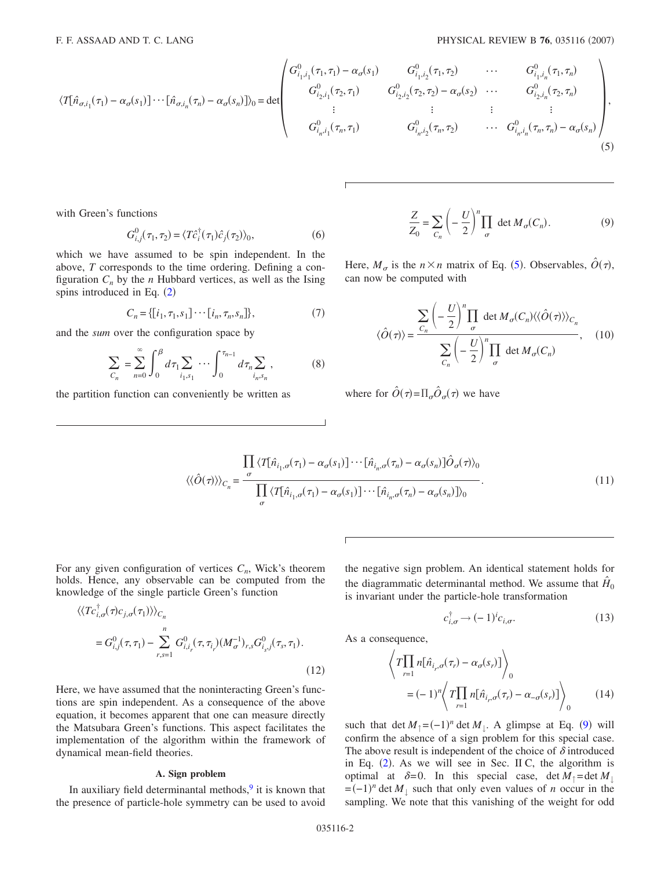<span id="page-1-0"></span>
$$
\langle T[\hat{n}_{\sigma,i_{1}}(\tau_{1}) - \alpha_{\sigma}(s_{1})] \cdots [\hat{n}_{\sigma,i_{n}}(\tau_{n}) - \alpha_{\sigma}(s_{n})] \rangle_{0} = \det \begin{pmatrix} G_{i_{1},i_{1}}^{0}(\tau_{1},\tau_{1}) - \alpha_{\sigma}(s_{1}) & G_{i_{1},i_{2}}^{0}(\tau_{1},\tau_{2}) & \cdots & G_{i_{1},i_{n}}^{0}(\tau_{1},\tau_{n}) \\ G_{i_{2},i_{1}}^{0}(\tau_{2},\tau_{1}) & G_{i_{2},i_{2}}^{0}(\tau_{2},\tau_{2}) - \alpha_{\sigma}(s_{2}) & \cdots & G_{i_{2},i_{n}}^{0}(\tau_{2},\tau_{n}) \\ \vdots & \vdots & \vdots & \vdots \\ G_{i_{n},i_{1}}^{0}(\tau_{n},\tau_{1}) & G_{i_{n},i_{2}}^{0}(\tau_{n},\tau_{2}) & \cdots & G_{i_{n},i_{n}}^{0}(\tau_{n},\tau_{n}) - \alpha_{\sigma}(s_{n}) \end{pmatrix},
$$
\n
$$
(5)
$$

with Green's functions

$$
G_{i,j}^0(\tau_1, \tau_2) = \langle T\hat{c}_i^\dagger(\tau_1)\hat{c}_j(\tau_2) \rangle_0,\tag{6}
$$

which we have assumed to be spin independent. In the above, *T* corresponds to the time ordering. Defining a configuration  $C_n$  by the *n* Hubbard vertices, as well as the Ising spins introduced in Eq.  $(2)$  $(2)$  $(2)$ 

$$
C_n = \{ [i_1, \tau_1, s_1] \cdots [i_n, \tau_n, s_n] \},\tag{7}
$$

<span id="page-1-3"></span><span id="page-1-2"></span>and the *sum* over the configuration space by

$$
\sum_{C_n} = \sum_{n=0}^{\infty} \int_0^{\beta} d\tau_1 \sum_{i_1, s_1} \cdots \int_0^{\tau_{n-1}} d\tau_n \sum_{i_n, s_n},
$$
 (8)

the partition function can conveniently be written as

$$
\frac{Z}{Z_0} = \sum_{C_n} \left( -\frac{U}{2} \right)^n \prod_{\sigma} \det M_{\sigma}(C_n).
$$
 (9)

<span id="page-1-1"></span>Here,  $M_{\sigma}$  is the  $n \times n$  matrix of Eq. ([5](#page-1-0)). Observables,  $\hat{O}(\tau)$ , can now be computed with

$$
\langle \hat{O}(\tau) \rangle = \frac{\sum_{C_n} \left( -\frac{U}{2} \right)^n \prod_{\sigma} \det M_{\sigma}(C_n) \langle \langle \hat{O}(\tau) \rangle \rangle_{C_n}}{\sum_{C_n} \left( -\frac{U}{2} \right)^n \prod_{\sigma} \det M_{\sigma}(C_n)}, \quad (10)
$$

where for  $\hat{O}(\tau) = \prod_{\sigma} \hat{O}_{\sigma}(\tau)$  we have

$$
\langle\langle \hat{O}(\tau) \rangle\rangle_{C_n} = \frac{\prod_{\sigma} \langle T[\hat{n}_{i_1,\sigma}(\tau_1) - \alpha_{\sigma}(s_1)] \cdots [\hat{n}_{i_n,\sigma}(\tau_n) - \alpha_{\sigma}(s_n)] \hat{O}_{\sigma}(\tau) \rangle_0}{\prod_{\sigma} \langle T[\hat{n}_{i_1,\sigma}(\tau_1) - \alpha_{\sigma}(s_1)] \cdots [\hat{n}_{i_n,\sigma}(\tau_n) - \alpha_{\sigma}(s_n)] \rangle_0}.
$$
\n(11)

For any given configuration of vertices  $C_n$ , Wick's theorem holds. Hence, any observable can be computed from the knowledge of the single particle Green's function

$$
\langle \langle T c_{i,\sigma}^{\dagger}(\tau) c_{j,\sigma}(\tau_1) \rangle \rangle_{C_n}
$$
  
=  $G_{i,j}^0(\tau, \tau_1) - \sum_{r,s=1}^n G_{i,i_r}^0(\tau, \tau_{i_r}) (M_{\sigma}^{-1})_{r,s} G_{i_s,j}^0(\tau_s, \tau_1).$  (12)

Here, we have assumed that the noninteracting Green's functions are spin independent. As a consequence of the above equation, it becomes apparent that one can measure directly the Matsubara Green's functions. This aspect facilitates the implementation of the algorithm within the framework of dynamical mean-field theories.

# **A. Sign problem**

In auxiliary field determinantal methods, $9$  it is known that the presence of particle-hole symmetry can be used to avoid the negative sign problem. An identical statement holds for the diagrammatic determinantal method. We assume that  $H_0$ is invariant under the particle-hole transformation

$$
c_{i,\sigma}^{\dagger} \to (-1)^{i} c_{i,\sigma}.
$$
 (13)

As a consequence,

$$
\left\langle T \prod_{r=1} n[\hat{n}_{i_r,\sigma}(\tau_r) - \alpha_{\sigma}(s_r)] \right\rangle_0
$$
  
=  $(-1)^n \left\langle T \prod_{r=1} n[\hat{n}_{i_r,\sigma}(\tau_r) - \alpha_{-\sigma}(s_r)] \right\rangle_0$  (14)

such that det  $M_{\uparrow} = (-1)^n \det M_{\downarrow}$ . A glimpse at Eq. ([9](#page-1-1)) will confirm the absence of a sign problem for this special case. The above result is independent of the choice of  $\delta$  introduced in Eq.  $(2)$  $(2)$  $(2)$ . As we will see in Sec. II C, the algorithm is optimal at  $\delta = 0$ . In this special case, det  $M_{\uparrow} = \det M_{\downarrow}$  $=(-1)^n$  det  $M_{\downarrow}$  such that only even values of *n* occur in the sampling. We note that this vanishing of the weight for odd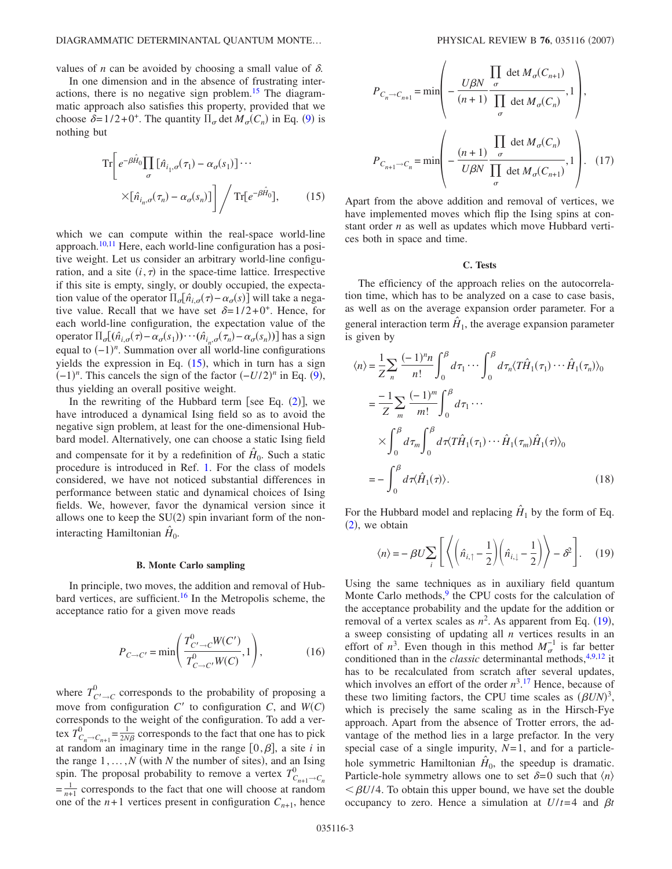## DIAGRAMMATIC DETERMINANTAL QUANTUM MONTE...

values of *n* can be avoided by choosing a small value of  $\delta$ .

In one dimension and in the absence of frustrating interactions, there is no negative sign problem.<sup>15</sup> The diagrammatic approach also satisfies this property, provided that we choose  $\delta = 1/2 + 0^+$ . The quantity  $\Pi_{\sigma}$  det  $M_{\sigma}(C_n)$  in Eq. ([9](#page-1-1)) is nothing but

<span id="page-2-0"></span>
$$
\operatorname{Tr}\left[e^{-\beta \hat{H}_0} \prod_{\sigma} \left[\hat{n}_{i_1,\sigma}(\tau_1) - \alpha_{\sigma}(s_1)\right] \cdots \times \left[\hat{n}_{i_n,\sigma}(\tau_n) - \alpha_{\sigma}(s_n)\right] \right] / \operatorname{Tr}\left[e^{-\beta \hat{H}_0}\right],\tag{15}
$$

which we can compute within the real-space world-line approach.<sup>10,[11](#page-7-4)</sup> Here, each world-line configuration has a positive weight. Let us consider an arbitrary world-line configuration, and a site  $(i, \tau)$  in the space-time lattice. Irrespective if this site is empty, singly, or doubly occupied, the expectation value of the operator  $\Pi_{\sigma}[\hat{n}_{i,\sigma}(\tau) - \alpha_{\sigma}(s)]$  will take a negative value. Recall that we have set  $\delta=1/2+0^+$ . Hence, for each world-line configuration, the expectation value of the operator  $\Pi_{\sigma}[(\hat{n}_{i,\sigma}(\tau) - \alpha_{\sigma}(s_1)) \cdots (\hat{n}_{i_n,\sigma}(\tau_n) - \alpha_{\sigma}(s_n))]$  has a sign equal to  $(-1)^n$ . Summation over all world-line configurations yields the expression in Eq.  $(15)$  $(15)$  $(15)$ , which in turn has a sign  $(-1)^n$ . This cancels the sign of the factor  $(-U/2)^n$  in Eq. ([9](#page-1-1)), thus yielding an overall positive weight.

In the rewriting of the Hubbard term [see Eq.  $(2)$  $(2)$  $(2)$ ], we have introduced a dynamical Ising field so as to avoid the negative sign problem, at least for the one-dimensional Hubbard model. Alternatively, one can choose a static Ising field and compensate for it by a redefinition of  $H<sub>0</sub>$ . Such a static procedure is introduced in Ref. [1.](#page-6-0) For the class of models considered, we have not noticed substantial differences in performance between static and dynamical choices of Ising fields. We, however, favor the dynamical version since it allows one to keep the  $SU(2)$  spin invariant form of the noninteracting Hamiltonian  $\hat{H}_0$ .

## **B. Monte Carlo sampling**

In principle, two moves, the addition and removal of Hubbard vertices, are sufficient.<sup>16</sup> In the Metropolis scheme, the acceptance ratio for a given move reads

$$
P_{C \to C'} = \min\left(\frac{T_{C' \to C}^{0} W(C')}{T_{C \to C'}^{0} W(C)}, 1\right),\tag{16}
$$

where  $T_{C'\to C}^0$  corresponds to the probability of proposing a move from configuration  $C'$  to configuration  $C$ , and  $W(C)$ corresponds to the weight of the configuration. To add a vertex  $T_{C_n \to C_{n+1}}^0 = \frac{1}{2N\beta}$  corresponds to the fact that one has to pick at random an imaginary time in the range  $[0, \beta]$ , a site *i* in the range  $1, \ldots, N$  (with *N* the number of sites), and an Ising spin. The proposal probability to remove a vertex  $T_{C_{n+1}\to C_n}^0$  $=\frac{1}{n+1}$  corresponds to the fact that one will choose at random one of the  $n+1$  vertices present in configuration  $C_{n+1}$ , hence

$$
P_{C_n \to C_{n+1}} = \min \left( -\frac{U\beta N}{(n+1)} \frac{\prod_{\sigma} \det M_{\sigma}(C_{n+1})}{\prod_{\sigma} \det M_{\sigma}(C_n)}, 1 \right),
$$
  

$$
P_{C_{n+1} \to C_n} = \min \left( -\frac{(n+1)}{U\beta N} \frac{\prod_{\sigma} \det M_{\sigma}(C_n)}{\prod_{\sigma} \det M_{\sigma}(C_{n+1})}, 1 \right). \quad (17)
$$

Apart from the above addition and removal of vertices, we have implemented moves which flip the Ising spins at constant order *n* as well as updates which move Hubbard vertices both in space and time.

### **C. Tests**

The efficiency of the approach relies on the autocorrelation time, which has to be analyzed on a case to case basis, as well as on the average expansion order parameter. For a general interaction term  $H_1$ , the average expansion parameter is given by

$$
\langle n \rangle = \frac{1}{Z} \sum_{n} \frac{(-1)^n n}{n!} \int_0^{\beta} d\tau_1 \cdots \int_0^{\beta} d\tau_n \langle T \hat{H}_1(\tau_1) \cdots \hat{H}_1(\tau_n) \rangle_0
$$
  

$$
= \frac{-1}{Z} \sum_{m} \frac{(-1)^m}{m!} \int_0^{\beta} d\tau_1 \cdots
$$
  

$$
\times \int_0^{\beta} d\tau_m \int_0^{\beta} d\tau \langle T \hat{H}_1(\tau_1) \cdots \hat{H}_1(\tau_m) \hat{H}_1(\tau) \rangle_0
$$
  

$$
= -\int_0^{\beta} d\tau \langle \hat{H}_1(\tau) \rangle.
$$
 (18)

<span id="page-2-1"></span>For the Hubbard model and replacing  $\hat{H}_1$  by the form of Eq.  $(2)$  $(2)$  $(2)$ , we obtain

$$
\langle n \rangle = -\beta U \sum_{i} \left[ \left\langle \left( \hat{n}_{i,\uparrow} - \frac{1}{2} \right) \left( \hat{n}_{i,\downarrow} - \frac{1}{2} \right) \right\rangle - \delta^2 \right]. \tag{19}
$$

Using the same techniques as in auxiliary field quantum Monte Carlo methods, $9$  the CPU costs for the calculation of the acceptance probability and the update for the addition or removal of a vertex scales as  $n^2$ . As apparent from Eq.  $(19)$  $(19)$  $(19)$ , a sweep consisting of updating all *n* vertices results in an effort of  $n^3$ . Even though in this method  $M_{\sigma}^{-1}$  is far better conditioned than in the *classic* determinantal methods,<sup>4,[9,](#page-7-1)[12](#page-7-6)</sup> it has to be recalculated from scratch after several updates, which involves an effort of the order  $n^3$ .<sup>[17](#page-7-7)</sup> Hence, because of these two limiting factors, the CPU time scales as  $(\beta UN)^3$ , which is precisely the same scaling as in the Hirsch-Fye approach. Apart from the absence of Trotter errors, the advantage of the method lies in a large prefactor. In the very special case of a single impurity, *N*= 1, and for a particlehole symmetric Hamiltonian  $\hat{H}_0$ , the speedup is dramatic. Particle-hole symmetry allows one to set  $\delta = 0$  such that  $\langle n \rangle$  $\leq \beta U/4$ . To obtain this upper bound, we have set the double occupancy to zero. Hence a simulation at  $U/t=4$  and  $\beta t$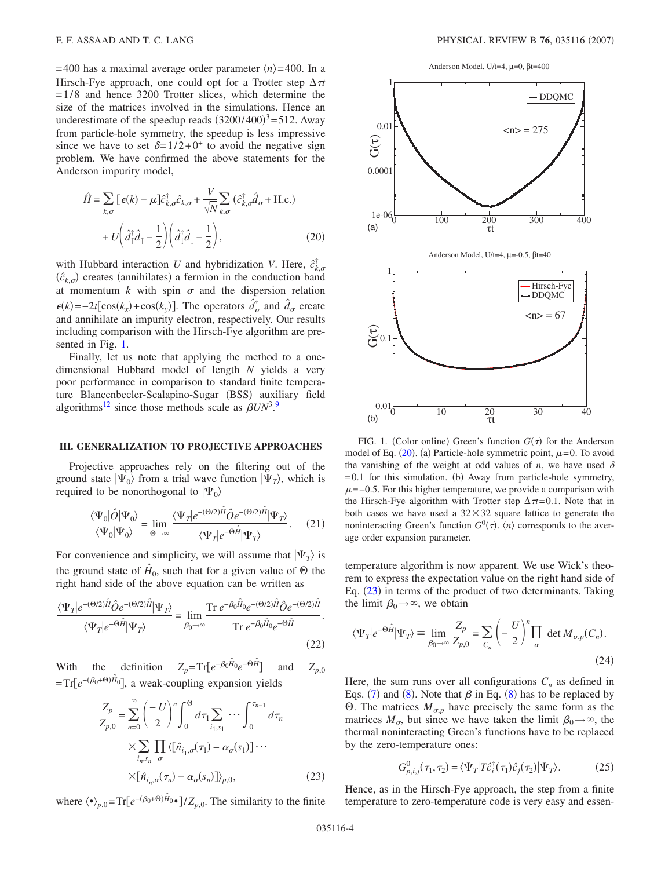$= 400$  has a maximal average order parameter  $\langle n \rangle = 400$ . In a Hirsch-Fye approach, one could opt for a Trotter step  $\Delta \tau t$  $= 1/8$  and hence 3200 Trotter slices, which determine the size of the matrices involved in the simulations. Hence an underestimate of the speedup reads  $(3200/400)^3 = 512$ . Away from particle-hole symmetry, the speedup is less impressive since we have to set  $\delta=1/2+0^+$  to avoid the negative sign problem. We have confirmed the above statements for the Anderson impurity model,

<span id="page-3-2"></span>
$$
\hat{H} = \sum_{k,\sigma} \left[ \epsilon(k) - \mu \right] \hat{c}_{k,\sigma}^{\dagger} \hat{c}_{k,\sigma} + \frac{V}{\sqrt{N}} \sum_{k,\sigma} \left( \hat{c}_{k,\sigma}^{\dagger} \hat{d}_{\sigma} + \text{H.c.} \right) \n+ U \left( \hat{d}_{\perp}^{\dagger} \hat{d}_{\perp} - \frac{1}{2} \right) \left( \hat{d}_{\perp}^{\dagger} \hat{d}_{\perp} - \frac{1}{2} \right),
$$
\n(20)

with Hubbard interaction *U* and hybridization *V*. Here,  $\hat{c}_{k,\sigma}^{\dagger}$  $(\hat{c}_{k,\sigma})$  creates (annihilates) a fermion in the conduction band at momentum  $k$  with spin  $\sigma$  and the dispersion relation  $\epsilon(k) = -2t[\cos(k_x) + \cos(k_y)].$  The operators  $\hat{d}^{\dagger}_{\sigma}$  and  $\hat{d}_{\sigma}$  create and annihilate an impurity electron, respectively. Our results including comparison with the Hirsch-Fye algorithm are presented in Fig. [1.](#page-3-0)

Finally, let us note that applying the method to a onedimensional Hubbard model of length *N* yields a very poor performance in comparison to standard finite temperature Blancenbecler-Scalapino-Sugar (BSS) auxiliary field algorithms<sup>12</sup> since those methods scale as  $\beta UN^3$ .<sup>[9](#page-7-1)</sup>

## **III. GENERALIZATION TO PROJECTIVE APPROACHES**

Projective approaches rely on the filtering out of the ground state  $|\Psi_0\rangle$  from a trial wave function  $|\Psi_T\rangle$ , which is required to be nonorthogonal to  $|\Psi_0\rangle$ 

$$
\frac{\langle\Psi_0|\hat{O}|\Psi_0\rangle}{\langle\Psi_0|\Psi_0\rangle} = \lim_{\Theta \to \infty} \frac{\langle\Psi_T|e^{-(\Theta/2)\hat{H}}\hat{O}e^{-(\Theta/2)\hat{H}}|\Psi_T\rangle}{\langle\Psi_T|e^{-\Theta\hat{H}}|\Psi_T\rangle}.
$$
 (21)

For convenience and simplicity, we will assume that  $|\Psi_T\rangle$  is the ground state of  $H_0$ , such that for a given value of  $\Theta$  the right hand side of the above equation can be written as

$$
\frac{\langle \Psi_T | e^{-(\Theta/2)\hat{H}} \hat{O} e^{-(\Theta/2)\hat{H}} | \Psi_T \rangle}{\langle \Psi_T | e^{-\Theta \hat{H}} | \Psi_T \rangle} = \lim_{\beta_0 \to \infty} \frac{\text{Tr} \ e^{-\beta_0 \hat{H}_{0}} e^{-(\Theta/2)\hat{H}} \hat{O} e^{-(\Theta/2)\hat{H}}}{\text{Tr} \ e^{-\beta_0 \hat{H}_{0}} e^{-\Theta \hat{H}}}.
$$
\n(22)

<span id="page-3-1"></span>With the definition  $Z_p = Tr\left[e^{-\beta_0 \hat{H}_0} e^{-\Theta \hat{H}}\right]$  and  $Z_{p,0}$ =Tr[ $e^{-(\beta_0+\Theta)\hat{H}_0}$ ], a weak-coupling expansion yields

$$
\frac{Z_p}{Z_{p,0}} = \sum_{n=0}^{\infty} \left(\frac{-U}{2}\right)^n \int_0^{\Theta} d\tau_1 \sum_{i_1, s_1} \cdots \int_0^{\tau_{n-1}} d\tau_n
$$

$$
\times \sum_{i_n, s_n} \prod_{\sigma} \langle [\hat{n}_{i_1, \sigma}(\tau_1) - \alpha_{\sigma}(s_1)] \cdots
$$

$$
\times [\hat{n}_{i_n, \sigma}(\tau_n) - \alpha_{\sigma}(s_n)] \rangle_{p,0},
$$
(23)

where  $\langle \bullet \rangle_{p,0} = \text{Tr}\left[e^{-(\beta_0+\Theta)\hat{H}_0} \bullet \right] / Z_{p,0}$ . The similarity to the finite

Anderson Model, U/t=4, µ=0, βt=400

<span id="page-3-0"></span>

FIG. 1. (Color online) Green's function  $G(\tau)$  for the Anderson model of Eq.  $(20)$  $(20)$  $(20)$ . (a) Particle-hole symmetric point,  $\mu$ =0. To avoid the vanishing of the weight at odd values of  $n$ , we have used  $\delta$  $= 0.1$  for this simulation. (b) Away from particle-hole symmetry,  $\mu$ =−0.5. For this higher temperature, we provide a comparison with the Hirsch-Fye algorithm with Trotter step  $\Delta \pi = 0.1$ . Note that in both cases we have used a  $32 \times 32$  square lattice to generate the noninteracting Green's function  $G^0(\tau)$ .  $\langle n \rangle$  corresponds to the average order expansion parameter.

temperature algorithm is now apparent. We use Wick's theorem to express the expectation value on the right hand side of Eq. ([23](#page-3-1)) in terms of the product of two determinants. Taking the limit  $\beta_0 \rightarrow \infty$ , we obtain

$$
\langle \Psi_T | e^{-\Theta \hat{H}} | \Psi_T \rangle = \lim_{\beta_0 \to \infty} \frac{Z_p}{Z_{p,0}} = \sum_{C_n} \left( -\frac{U}{2} \right)^n \prod_{\sigma} \det M_{\sigma,p}(C_n).
$$
\n(24)

Here, the sum runs over all configurations  $C_n$  as defined in Eqs. ([7](#page-1-2)) and ([8](#page-1-3)). Note that  $\beta$  in Eq. (8) has to be replaced by  $\Theta$ . The matrices  $M_{\sigma,p}$  have precisely the same form as the matrices  $M_{\sigma}$ , but since we have taken the limit  $\beta_0 \rightarrow \infty$ , the thermal noninteracting Green's functions have to be replaced by the zero-temperature ones:

$$
G_{p,i,j}^0(\tau_1, \tau_2) = \langle \Psi_T | T \hat{c}_i^\dagger(\tau_1) \hat{c}_j(\tau_2) | \Psi_T \rangle. \tag{25}
$$

Hence, as in the Hirsch-Fye approach, the step from a finite temperature to zero-temperature code is very easy and essen-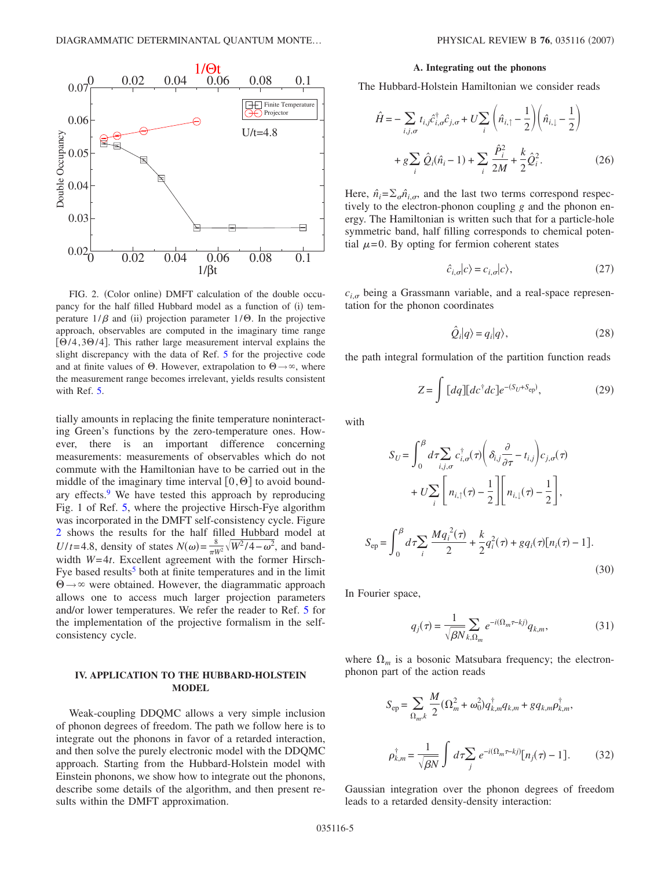<span id="page-4-0"></span>

FIG. 2. (Color online) DMFT calculation of the double occupancy for the half filled Hubbard model as a function of (i) temperature  $1/\beta$  and (ii) projection parameter  $1/\Theta$ . In the projective approach, observables are computed in the imaginary time range  $[0/4, 30/4]$ . This rather large measurement interval explains the slight discrepancy with the data of Ref. [5](#page-6-4) for the projective code and at finite values of  $\Theta$ . However, extrapolation to  $\Theta \rightarrow \infty$ , where the measurement range becomes irrelevant, yields results consistent with Ref. [5.](#page-6-4)

tially amounts in replacing the finite temperature noninteracting Green's functions by the zero-temperature ones. However, there is an important difference concerning measurements: measurements of observables which do not commute with the Hamiltonian have to be carried out in the middle of the imaginary time interval  $[0, \Theta]$  to avoid boundary effects. $9$  We have tested this approach by reproducing Fig. 1 of Ref. [5,](#page-6-4) where the projective Hirsch-Fye algorithm was incorporated in the DMFT self-consistency cycle. Figure [2](#page-4-0) shows the results for the half filled Hubbard model at *U*/*t*=4.8, density of states  $N(\omega) = \frac{8}{\pi W^2} \sqrt{W^2/4 - \omega^2}$ , and bandwidth *W*=4*t*. Excellent agreement with the former Hirsch-Fye based results<sup>5</sup> both at finite temperatures and in the limit  $\Theta \rightarrow \infty$  were obtained. However, the diagrammatic approach allows one to access much larger projection parameters and/or lower temperatures. We refer the reader to Ref. [5](#page-6-4) for the implementation of the projective formalism in the selfconsistency cycle.

# **IV. APPLICATION TO THE HUBBARD-HOLSTEIN MODEL**

Weak-coupling DDQMC allows a very simple inclusion of phonon degrees of freedom. The path we follow here is to integrate out the phonons in favor of a retarded interaction, and then solve the purely electronic model with the DDQMC approach. Starting from the Hubbard-Holstein model with Einstein phonons, we show how to integrate out the phonons, describe some details of the algorithm, and then present results within the DMFT approximation.

#### **A. Integrating out the phonons**

The Hubbard-Holstein Hamiltonian we consider reads

$$
\hat{H} = -\sum_{i,j,\sigma} t_{i,j} \hat{c}_{i,\sigma}^{\dagger} \hat{c}_{j,\sigma} + U \sum_{i} \left( \hat{n}_{i,\uparrow} - \frac{1}{2} \right) \left( \hat{n}_{i,\downarrow} - \frac{1}{2} \right) \n+ g \sum_{i} \hat{Q}_{i} (\hat{n}_{i} - 1) + \sum_{i} \frac{\hat{P}_{i}^{2}}{2M} + \frac{k}{2} \hat{Q}_{i}^{2}.
$$
\n(26)

Here,  $\hat{n}_i = \sum_{\sigma} \hat{n}_{i,\sigma}$ , and the last two terms correspond respectively to the electron-phonon coupling *g* and the phonon energy. The Hamiltonian is written such that for a particle-hole symmetric band, half filling corresponds to chemical potential  $\mu$ =0. By opting for fermion coherent states

$$
\hat{c}_{i,\sigma}|c\rangle = c_{i,\sigma}|c\rangle,\tag{27}
$$

 $c_{i,\sigma}$  being a Grassmann variable, and a real-space representation for the phonon coordinates

$$
\hat{Q}_i|q\rangle = q_i|q\rangle,\tag{28}
$$

the path integral formulation of the partition function reads

$$
Z = \int [dq][dc^{\dagger}dc]e^{-(S_U+S_{\rm ep})},\tag{29}
$$

with

$$
S_U = \int_0^\beta d\tau \sum_{i,j,\sigma} c_{i,\sigma}^\dagger(\tau) \bigg( \delta_{i,j} \frac{\partial}{\partial \tau} - t_{i,j} \bigg) c_{j,\sigma}(\tau)
$$
  
+ 
$$
U \sum_i \bigg[ n_{i,\uparrow}(\tau) - \frac{1}{2} \bigg] \bigg[ n_{i,\downarrow}(\tau) - \frac{1}{2} \bigg],
$$
  

$$
S_{\rm ep} = \int_0^\beta d\tau \sum_i \frac{M q_i^2(\tau)}{2} + \frac{k}{2} q_i^2(\tau) + g q_i(\tau) [n_i(\tau) - 1].
$$
  
(30)

In Fourier space,

$$
q_j(\tau) = \frac{1}{\sqrt{\beta N}} \sum_{k,\Omega_m} e^{-i(\Omega_m \tau - kj)} q_{k,m},\tag{31}
$$

where  $\Omega_m$  is a bosonic Matsubara frequency; the electronphonon part of the action reads

$$
S_{\rm ep} = \sum_{\Omega_m, k} \frac{M}{2} (\Omega_m^2 + \omega_0^2) q_{k,m}^\dagger q_{k,m} + g q_{k,m} \rho_{k,m}^\dagger,
$$
  

$$
\rho_{k,m}^\dagger = \frac{1}{\sqrt{\beta N}} \int d\tau \sum_j e^{-i(\Omega_m \tau - kj)} [n_j(\tau) - 1]. \tag{32}
$$

Gaussian integration over the phonon degrees of freedom leads to a retarded density-density interaction: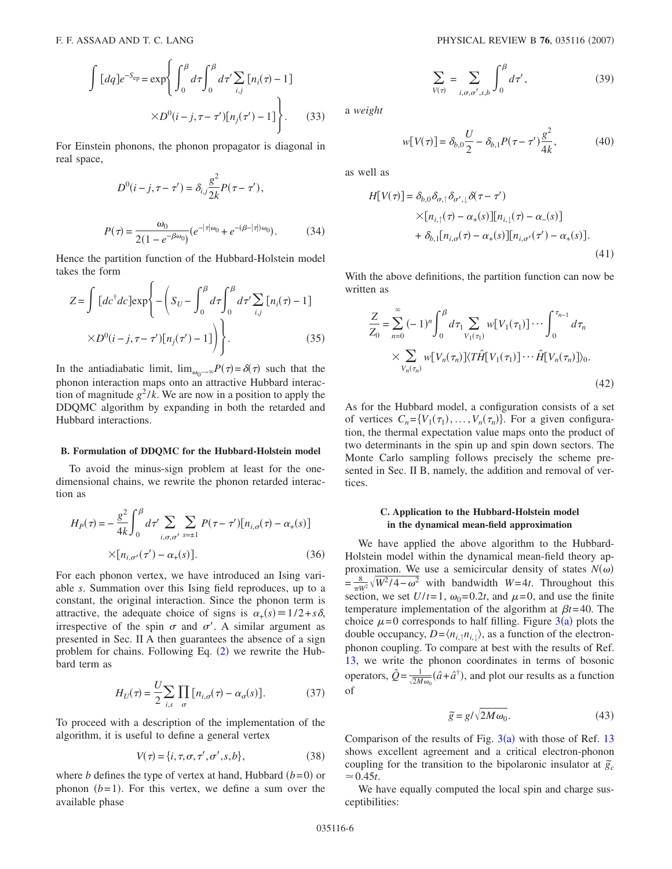$$
\int [dq]e^{-S_{ep}} = \exp\left\{ \int_0^\beta d\tau \int_0^\beta d\tau' \sum_{i,j} [n_i(\tau) - 1] \times D^0(i - j, \tau - \tau')[n_j(\tau') - 1] \right\}.
$$
 (33)

For Einstein phonons, the phonon propagator is diagonal in real space,

$$
D^{0}(i-j,\tau-\tau')=\delta_{i,j}\frac{g^{2}}{2k}P(\tau-\tau'),
$$

$$
P(\tau) = \frac{\omega_0}{2(1 - e^{-\beta \omega_0})} (e^{-|\tau| \omega_0} + e^{-(\beta - |\tau|) \omega_0}).
$$
 (34)

Hence the partition function of the Hubbard-Holstein model takes the form

$$
Z = \int [dc^{\dagger}dc]exp\left\{-\left(S_U - \int_0^{\beta} d\tau \int_0^{\beta} d\tau' \sum_{i,j} [n_i(\tau) - 1] \right) \times D^0(i - j, \tau - \tau')[n_j(\tau') - 1]\right\}.
$$
 (35)

In the antiadiabatic limit,  $\lim_{\omega_0 \to \infty} P(\tau) = \delta(\tau)$  such that the phonon interaction maps onto an attractive Hubbard interaction of magnitude  $g^2/k$ . We are now in a position to apply the DDQMC algorithm by expanding in both the retarded and Hubbard interactions.

### **B. Formulation of DDQMC for the Hubbard-Holstein model**

To avoid the minus-sign problem at least for the onedimensional chains, we rewrite the phonon retarded interaction as

$$
H_P(\tau) = -\frac{g^2}{4k} \int_0^{\beta} d\tau' \sum_{i,\sigma,\sigma'} \sum_{s=\pm 1} P(\tau - \tau') [n_{i,\sigma}(\tau) - \alpha_+(s)]
$$
  
×[ $n_{i,\sigma'}(\tau') - \alpha_+(s)$ ]. (36)

For each phonon vertex, we have introduced an Ising variable *s*. Summation over this Ising field reproduces, up to a constant, the original interaction. Since the phonon term is attractive, the adequate choice of signs is  $\alpha_+(s) \equiv 1/2 + s\delta$ , irrespective of the spin  $\sigma$  and  $\sigma'$ . A similar argument as presented in Sec. II A then guarantees the absence of a sign problem for chains. Following Eq.  $(2)$  $(2)$  $(2)$  we rewrite the Hubbard term as

$$
H_U(\tau) = \frac{U}{2} \sum_{i,s} \prod_{\sigma} [n_{i,\sigma}(\tau) - \alpha_{\sigma}(s)].
$$
 (37)

To proceed with a description of the implementation of the algorithm, it is useful to define a general vertex

$$
V(\tau) = \{i, \tau, \sigma, \tau', \sigma', s, b\},\tag{38}
$$

where *b* defines the type of vertex at hand, Hubbard  $(b=0)$  or phonon  $(b=1)$ . For this vertex, we define a sum over the available phase

$$
\sum_{V(\tau)} = \sum_{i,\sigma,\sigma',s,b} \int_0^\beta d\tau',\tag{39}
$$

a *weight*

$$
w[V(\tau)] = \delta_{b,0} \frac{U}{2} - \delta_{b,1} P(\tau - \tau') \frac{g^2}{4k},
$$
 (40)

as well as

$$
H[V(\tau)] = \delta_{b,0}\delta_{\sigma,\uparrow}\delta_{\sigma',\downarrow}\delta(\tau-\tau')
$$
  
×[ $n_{i,\uparrow}(\tau) - \alpha_+(s)$ ][ $n_{i,\downarrow}(\tau) - \alpha_-(s)$ ]  
+  $\delta_{b,\downarrow}[n_{i,\sigma}(\tau) - \alpha_+(s)][n_{i,\sigma'}(\tau') - \alpha_+(s)].$  (41)

With the above definitions, the partition function can now be written as

$$
\frac{Z}{Z_0} = \sum_{n=0}^{\infty} (-1)^n \int_0^{\beta} d\tau_1 \sum_{V_1(\tau_1)} w[V_1(\tau_1)] \cdots \int_0^{\tau_{n-1}} d\tau_n
$$
  
 
$$
\times \sum_{V_n(\tau_n)} w[V_n(\tau_n)] \langle T\hat{H}[V_1(\tau_1)] \cdots \hat{H}[V_n(\tau_n)] \rangle_0.
$$
 (42)

As for the Hubbard model, a configuration consists of a set of vertices  $C_n = \{V_1(\tau_1), \ldots, V_n(\tau_n)\}\$ . For a given configuration, the thermal expectation value maps onto the product of two determinants in the spin up and spin down sectors. The Monte Carlo sampling follows precisely the scheme presented in Sec. II B, namely, the addition and removal of vertices.

# **C. Application to the Hubbard-Holstein model in the dynamical mean-field approximation**

We have applied the above algorithm to the Hubbard-Holstein model within the dynamical mean-field theory approximation. We use a semicircular density of states  $N(\omega)$  $=\frac{8}{\pi W^2}\sqrt{W^2/4-\omega^2}$  with bandwidth *W*=4*t*. Throughout this section, we set  $U/t=1$ ,  $\omega_0=0.2t$ , and  $\mu=0$ , and use the finite temperature implementation of the algorithm at  $\beta t = 40$ . The choice  $\mu=0$  corresponds to half filling. Figure  $3(a)$  $3(a)$  plots the double occupancy,  $D = \langle n_{i,1} n_{i,1} \rangle$ , as a function of the electronphonon coupling. To compare at best with the results of Ref. [13,](#page-6-3) we write the phonon coordinates in terms of bosonic operators,  $\hat{Q} = \frac{1}{\sqrt{2M\omega_0}} (\hat{a} + \hat{a}^{\dagger})$ , and plot our results as a function of

$$
\tilde{g} = g/\sqrt{2M\omega_0}.\tag{43}
$$

Comparison of the results of Fig.  $3(a)$  $3(a)$  with those of Ref. [13](#page-6-3) shows excellent agreement and a critical electron-phonon coupling for the transition to the bipolaronic insulator at  $\tilde{g}_c$  $\approx 0.45t$ .

We have equally computed the local spin and charge susceptibilities: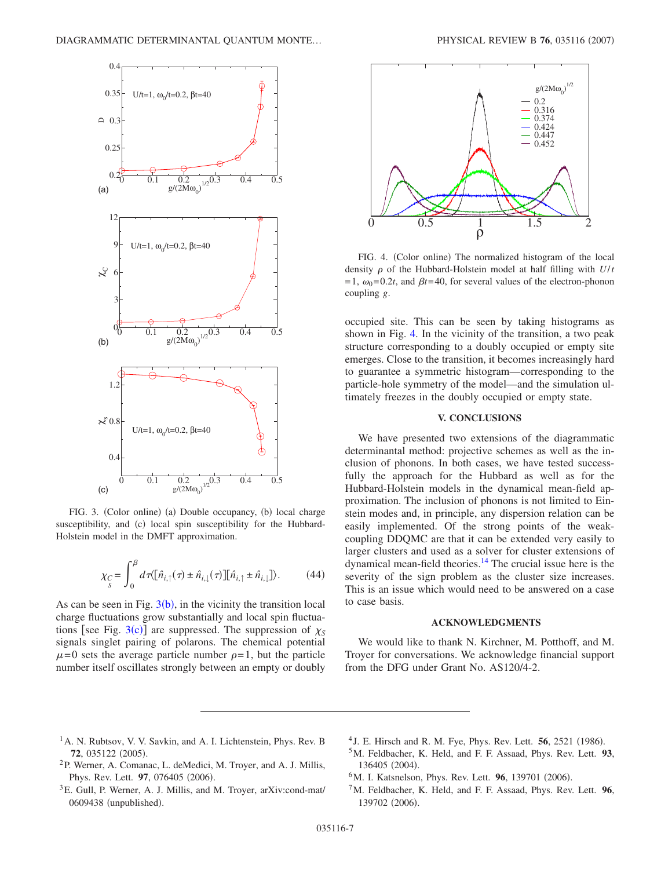<span id="page-6-6"></span>

FIG. 3. (Color online) (a) Double occupancy, (b) local charge susceptibility, and (c) local spin susceptibility for the Hubbard-Holstein model in the DMFT approximation.

$$
\chi_C = \int_0^\beta d\tau \langle [\hat{n}_{i,\uparrow}(\tau) \pm \hat{n}_{i,\downarrow}(\tau)][\hat{n}_{i,\uparrow} \pm \hat{n}_{i,\downarrow}]\rangle. \tag{44}
$$

As can be seen in Fig.  $3(b)$  $3(b)$ , in the vicinity the transition local charge fluctuations grow substantially and local spin fluctuations [see Fig.  $3(c)$  $3(c)$ ] are suppressed. The suppression of  $\chi_S$ signals singlet pairing of polarons. The chemical potential  $\mu$ =0 sets the average particle number  $\rho$ =1, but the particle number itself oscillates strongly between an empty or doubly

<span id="page-6-7"></span>

FIG. 4. (Color online) The normalized histogram of the local density  $\rho$  of the Hubbard-Holstein model at half filling with  $U/t$  $= 1$ ,  $\omega_0 = 0.2t$ , and  $\beta t = 40$ , for several values of the electron-phonon coupling *g*.

occupied site. This can be seen by taking histograms as shown in Fig. [4.](#page-6-7) In the vicinity of the transition, a two peak structure corresponding to a doubly occupied or empty site emerges. Close to the transition, it becomes increasingly hard to guarantee a symmetric histogram—corresponding to the particle-hole symmetry of the model—and the simulation ultimately freezes in the doubly occupied or empty state.

# **V. CONCLUSIONS**

We have presented two extensions of the diagrammatic determinantal method: projective schemes as well as the inclusion of phonons. In both cases, we have tested successfully the approach for the Hubbard as well as for the Hubbard-Holstein models in the dynamical mean-field approximation. The inclusion of phonons is not limited to Einstein modes and, in principle, any dispersion relation can be easily implemented. Of the strong points of the weakcoupling DDQMC are that it can be extended very easily to larger clusters and used as a solver for cluster extensions of dynamical mean-field theories[.14](#page-7-8) The crucial issue here is the severity of the sign problem as the cluster size increases. This is an issue which would need to be answered on a case to case basis.

## **ACKNOWLEDGMENTS**

We would like to thank N. Kirchner, M. Potthoff, and M. Troyer for conversations. We acknowledge financial support from the DFG under Grant No. AS120/4-2.

- <span id="page-6-0"></span><sup>1</sup>A. N. Rubtsov, V. V. Savkin, and A. I. Lichtenstein, Phys. Rev. B **72**, 035122 (2005).
- <span id="page-6-3"></span><sup>4</sup> J. E. Hirsch and R. M. Fye, Phys. Rev. Lett. **56**, 2521 (1986).
- <span id="page-6-4"></span>5M. Feldbacher, K. Held, and F. F. Assaad, Phys. Rev. Lett. **93**, 136405 (2004).
- <span id="page-6-1"></span>2P. Werner, A. Comanac, L. deMedici, M. Troyer, and A. J. Millis, Phys. Rev. Lett. **97**, 076405 (2006).
- <span id="page-6-2"></span><sup>3</sup>E. Gull, P. Werner, A. J. Millis, and M. Troyer, arXiv:cond-mat/ 0609438 (unpublished).
- <sup>6</sup>M. I. Katsnelson, Phys. Rev. Lett. **96**, 139701 (2006).
- <span id="page-6-5"></span>7M. Feldbacher, K. Held, and F. F. Assaad, Phys. Rev. Lett. **96**, 139702 (2006).